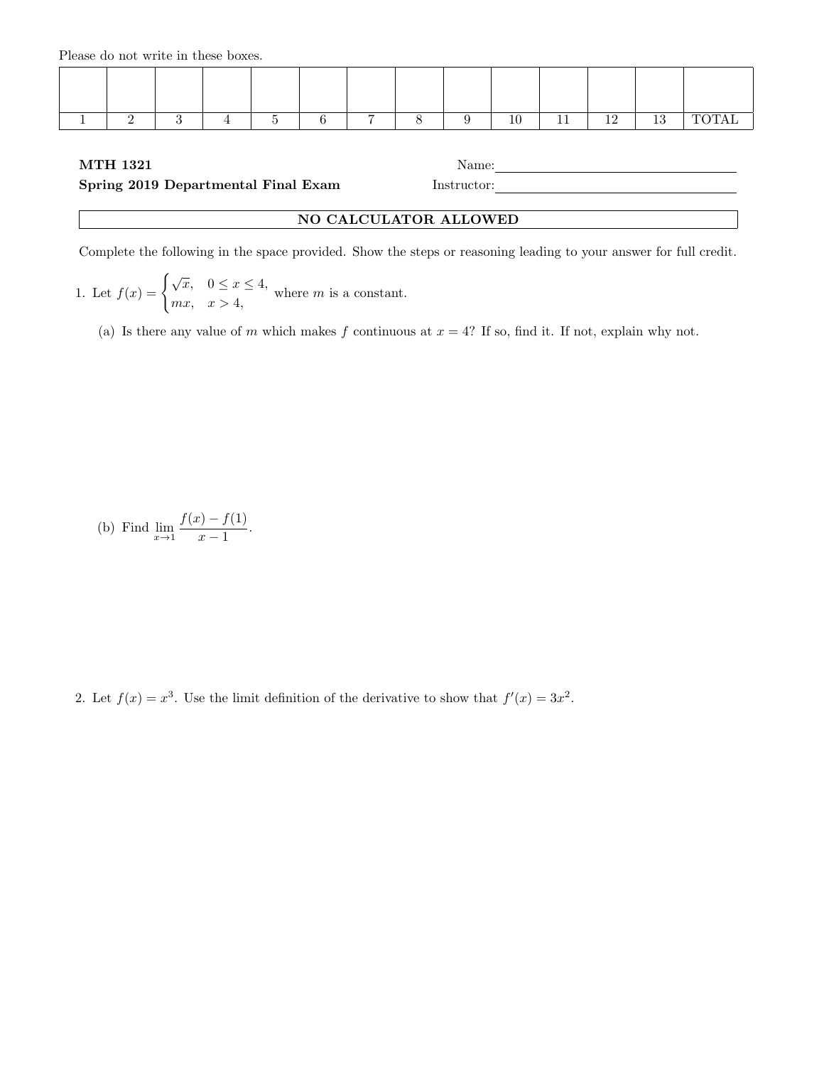Please do not write in these boxes.

| - |  |  | - |  | $\sim$<br>ᆂᅜ | <u>.</u> | 1 <sub>0</sub><br>. . | 10<br>πu |  |
|---|--|--|---|--|--------------|----------|-----------------------|----------|--|

## MTH 1321 Name:

## Spring 2019 Departmental Final Exam Instructor:

| NO CALCULATOR ALLOWED |  |
|-----------------------|--|

Complete the following in the space provided. Show the steps or reasoning leading to your answer for full credit.

1. Let 
$$
f(x) = \begin{cases} \sqrt{x}, & 0 \leq x \leq 4, \\ mx, & x > 4, \end{cases}
$$
 where *m* is a constant.

(a) Is there any value of m which makes f continuous at  $x = 4$ ? If so, find it. If not, explain why not.

(b) Find 
$$
\lim_{x \to 1} \frac{f(x) - f(1)}{x - 1}
$$
.

2. Let  $f(x) = x^3$ . Use the limit definition of the derivative to show that  $f'(x) = 3x^2$ .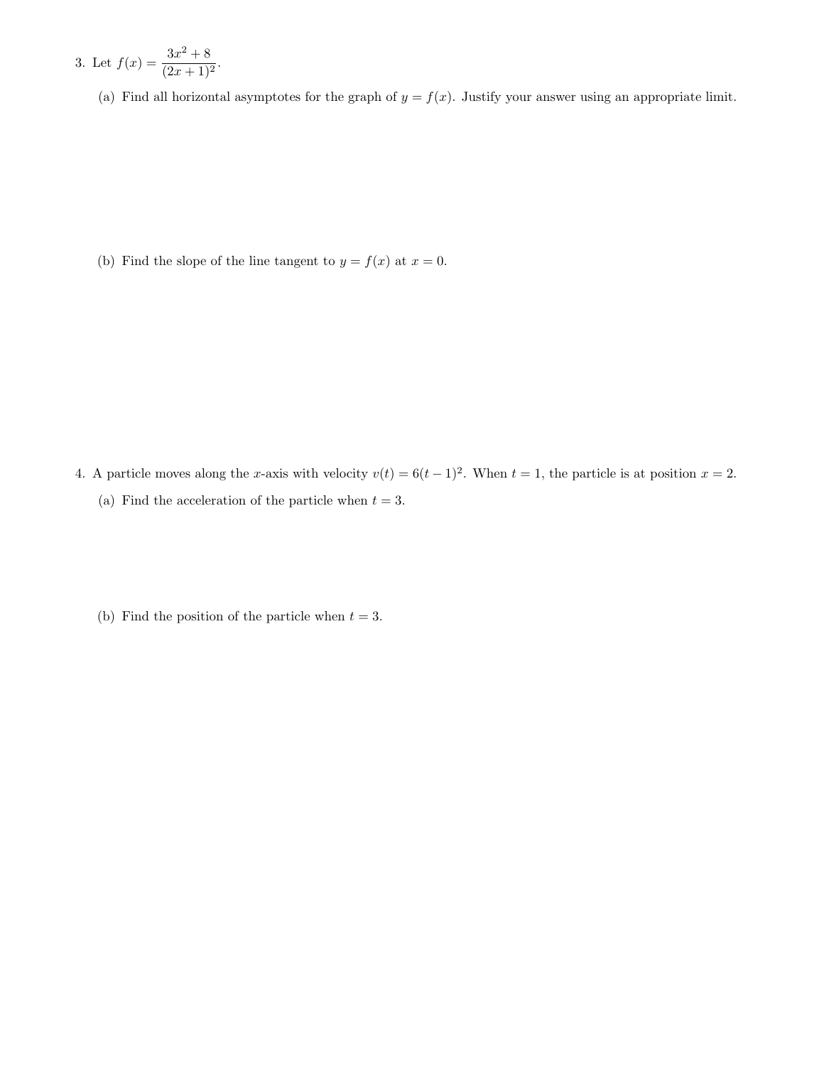3. Let 
$$
f(x) = \frac{3x^2 + 8}{(2x+1)^2}
$$
.

(a) Find all horizontal asymptotes for the graph of  $y = f(x)$ . Justify your answer using an appropriate limit.

(b) Find the slope of the line tangent to  $y = f(x)$  at  $x = 0$ .

- 4. A particle moves along the x-axis with velocity  $v(t) = 6(t-1)^2$ . When  $t = 1$ , the particle is at position  $x = 2$ . (a) Find the acceleration of the particle when  $t = 3$ .
	- (b) Find the position of the particle when  $t = 3$ .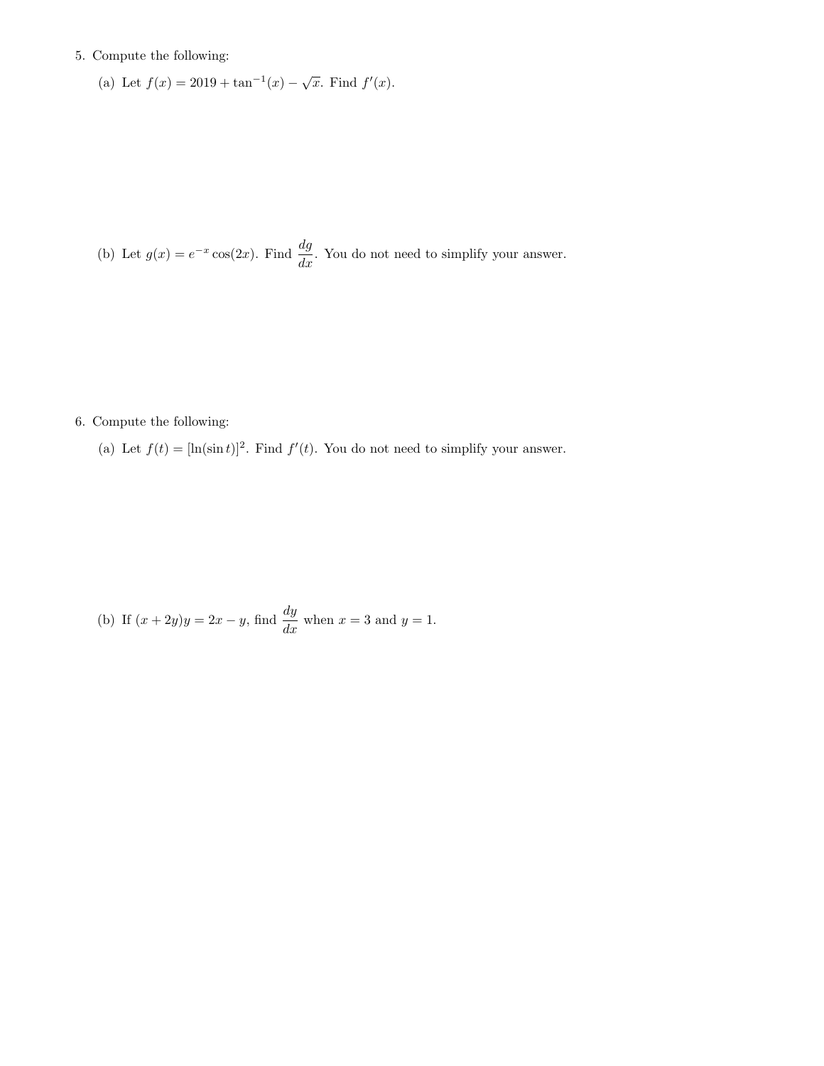## 5. Compute the following:

(a) Let 
$$
f(x) = 2019 + \tan^{-1}(x) - \sqrt{x}
$$
. Find  $f'(x)$ .

(b) Let  $g(x) = e^{-x} \cos(2x)$ . Find  $\frac{dg}{dx}$ . You do not need to simplify your answer.

6. Compute the following:

(a) Let  $f(t) = [\ln(\sin t)]^2$ . Find  $f'(t)$ . You do not need to simplify your answer.

(b) If  $(x + 2y)y = 2x - y$ , find  $\frac{dy}{dx}$  when  $x = 3$  and  $y = 1$ .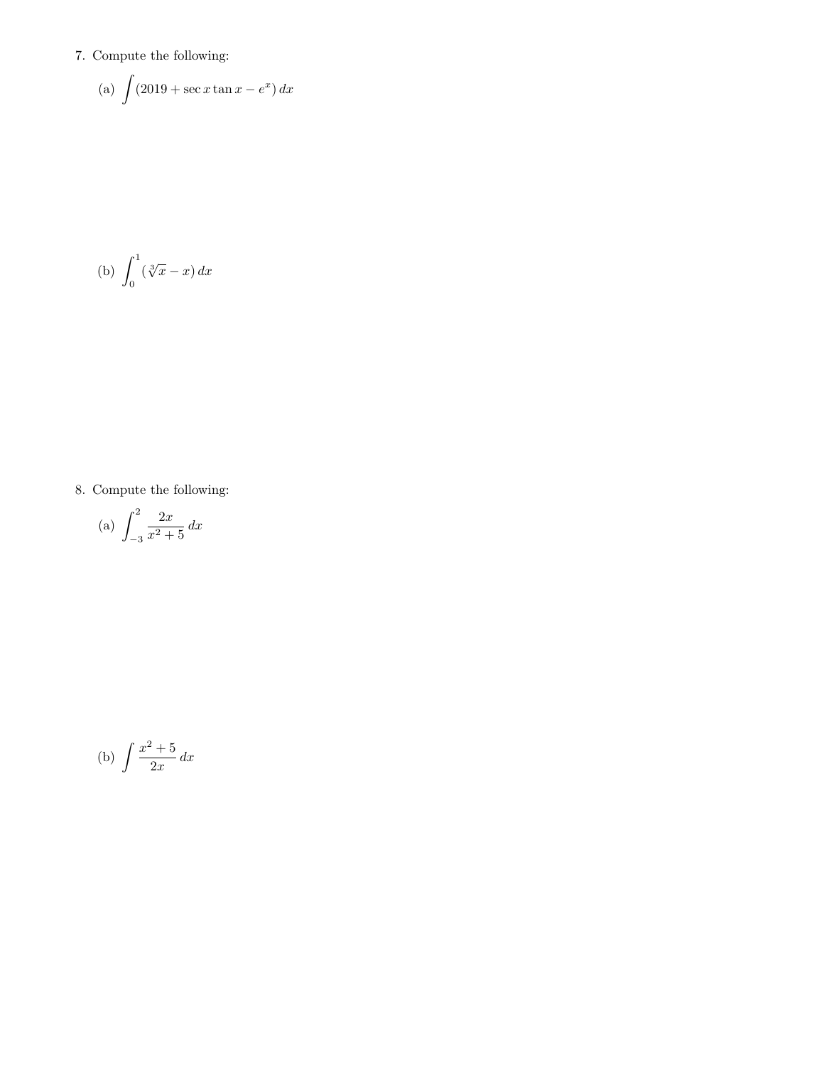## 7. Compute the following:

(a) 
$$
\int (2019 + \sec x \tan x - e^x) dx
$$

$$
(b) \int_0^1 (\sqrt[3]{x} - x) dx
$$

8. Compute the following:

(a) 
$$
\int_{-3}^{2} \frac{2x}{x^2 + 5} dx
$$

(b) 
$$
\int \frac{x^2 + 5}{2x} dx
$$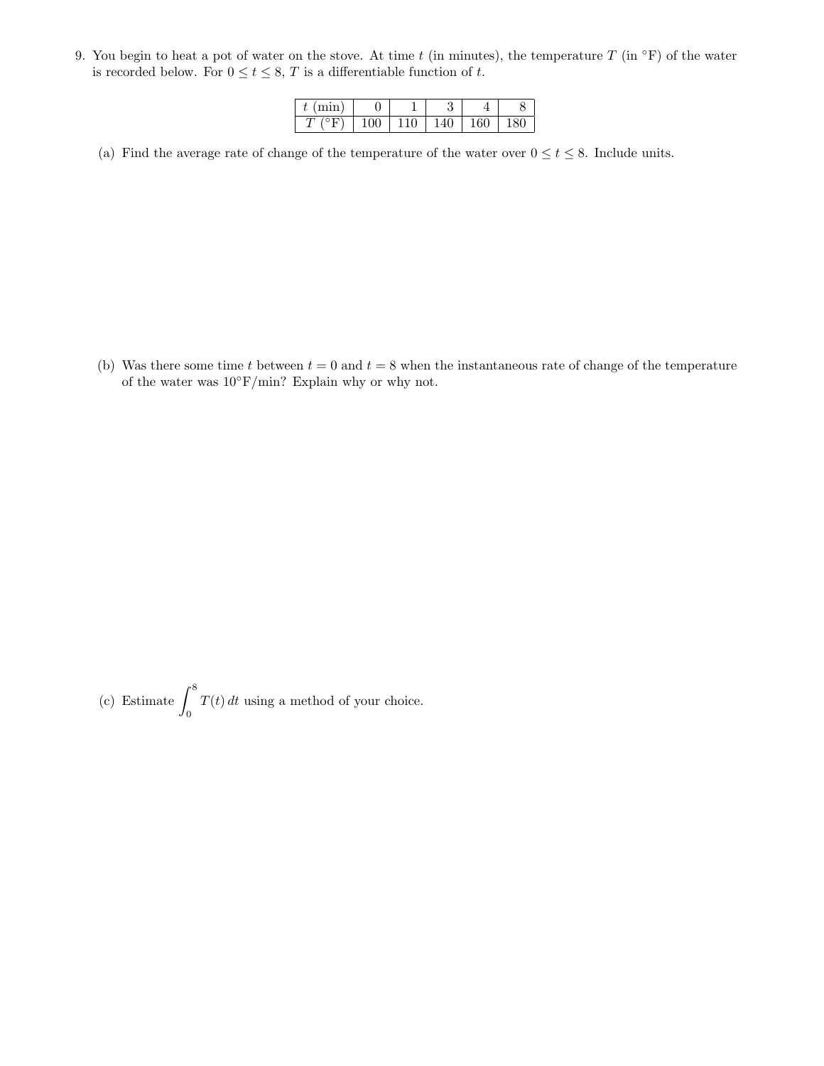9. You begin to heat a pot of water on the stove. At time t (in minutes), the temperature  $T$  (in  $\circ$ F) of the water is recorded below. For  $0 \le t \le 8$ , T is a differentiable function of t.

| 2210.1<br>v |   |   | υ             |          |                   |
|-------------|---|---|---------------|----------|-------------------|
| ັ           | ◡ | v | v<br><b>T</b> | v<br>⊥∪∙ | 'U<br>$\check{ }$ |

(a) Find the average rate of change of the temperature of the water over  $0 \le t \le 8$ . Include units.

(b) Was there some time t between  $t = 0$  and  $t = 8$  when the instantaneous rate of change of the temperature of the water was  $10°$ F/min? Explain why or why not.

(c) Estimate  $\int^8$ 0  $T(t) dt$  using a method of your choice.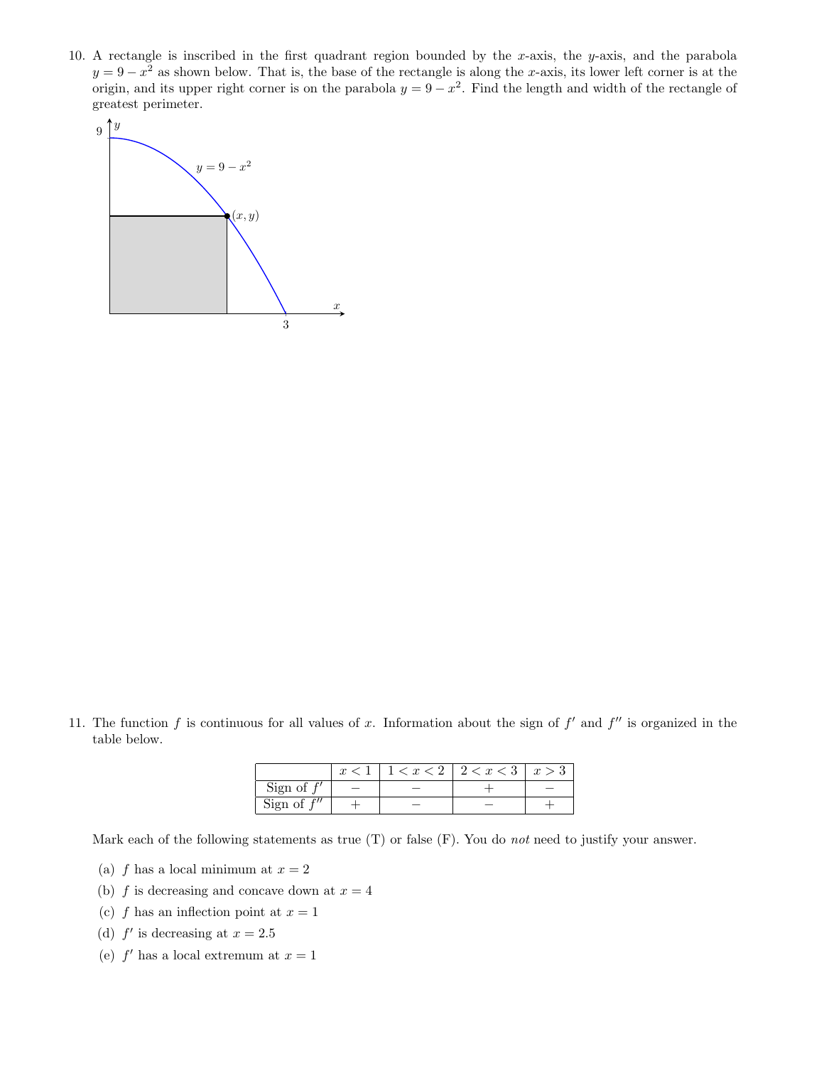10. A rectangle is inscribed in the first quadrant region bounded by the x-axis, the y-axis, and the parabola  $y = 9 - x^2$  as shown below. That is, the base of the rectangle is along the x-axis, its lower left corner is at the origin, and its upper right corner is on the parabola  $y = 9 - x^2$ . Find the length and width of the rectangle of greatest perimeter.



11. The function f is continuous for all values of x. Information about the sign of  $f'$  and  $f''$  is organized in the table below.

|               |  | $3 < x < 2$   2 $< x < 3$ | x > 3 |
|---------------|--|---------------------------|-------|
| Sign of       |  |                           |       |
| Sign of $f''$ |  |                           |       |

Mark each of the following statements as true  $(T)$  or false  $(F)$ . You do not need to justify your answer.

- (a) f has a local minimum at  $x = 2$
- (b) f is decreasing and concave down at  $x = 4$
- (c) f has an inflection point at  $x = 1$
- (d)  $f'$  is decreasing at  $x = 2.5$
- (e)  $f'$  has a local extremum at  $x = 1$